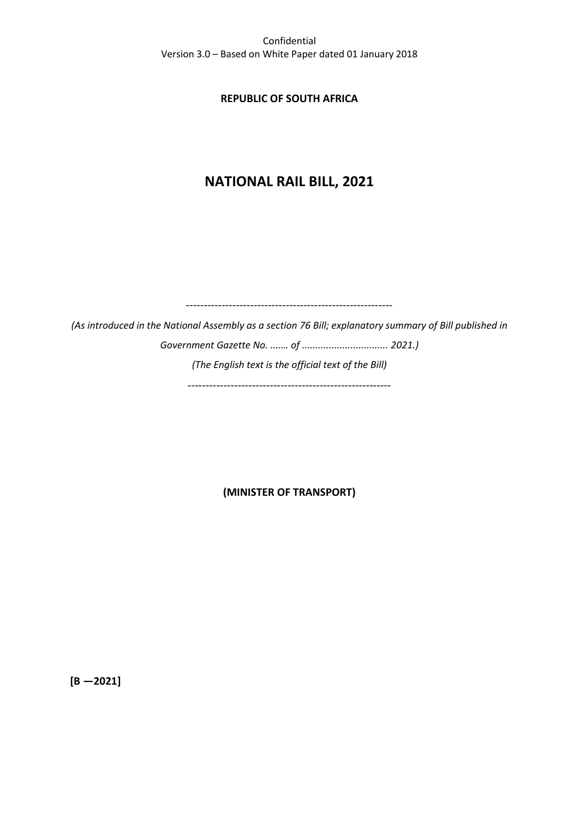### **REPUBLIC OF SOUTH AFRICA**

# **NATIONAL RAIL BILL, 2021**

----------------------------------------------------------

*(As introduced in the National Assembly as a section 76 Bill; explanatory summary of Bill published in Government Gazette No. ....… of ................................ 2021.) (The English text is the official text of the Bill)*

-----------*----------------------------------------------*

**(MINISTER OF TRANSPORT)**

**[B —2021]**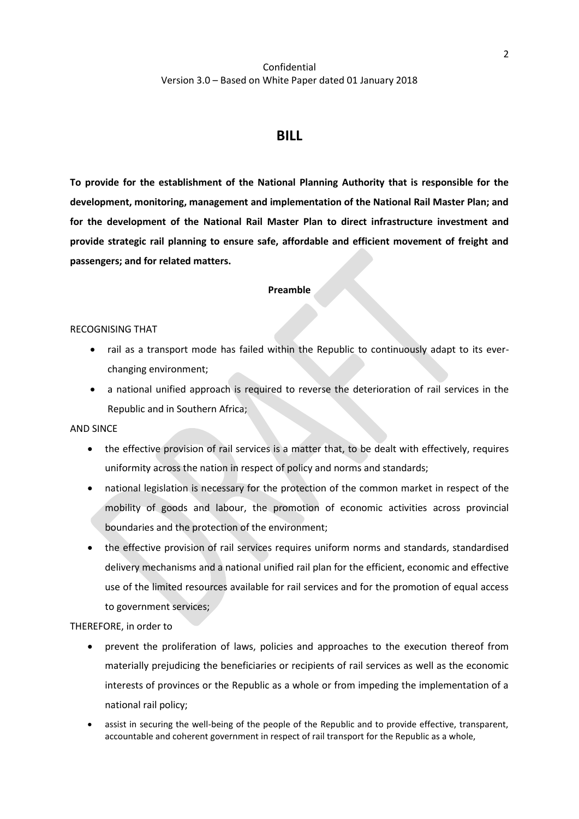# **BILL**

**To provide for the establishment of the National Planning Authority that is responsible for the development, monitoring, management and implementation of the National Rail Master Plan; and for the development of the National Rail Master Plan to direct infrastructure investment and provide strategic rail planning to ensure safe, affordable and efficient movement of freight and passengers; and for related matters.**

#### **Preamble**

#### RECOGNISING THAT

- rail as a transport mode has failed within the Republic to continuously adapt to its everchanging environment;
- a national unified approach is required to reverse the deterioration of rail services in the Republic and in Southern Africa;

#### AND SINCE

- the effective provision of rail services is a matter that, to be dealt with effectively, requires uniformity across the nation in respect of policy and norms and standards;
- national legislation is necessary for the protection of the common market in respect of the mobility of goods and labour, the promotion of economic activities across provincial boundaries and the protection of the environment;
- the effective provision of rail services requires uniform norms and standards, standardised delivery mechanisms and a national unified rail plan for the efficient, economic and effective use of the limited resources available for rail services and for the promotion of equal access to government services;

THEREFORE, in order to

- prevent the proliferation of laws, policies and approaches to the execution thereof from materially prejudicing the beneficiaries or recipients of rail services as well as the economic interests of provinces or the Republic as a whole or from impeding the implementation of a national rail policy;
- assist in securing the well-being of the people of the Republic and to provide effective, transparent, accountable and coherent government in respect of rail transport for the Republic as a whole,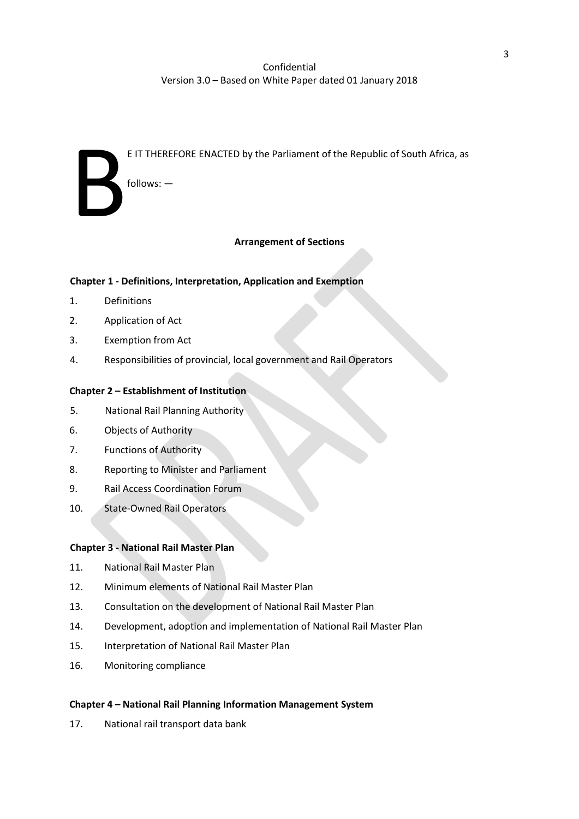| $follows:$ $-$                                                               |
|------------------------------------------------------------------------------|
|                                                                              |
| E IT THEREFORE ENACTED by the Parliament of the Republic of South Africa, as |
|                                                                              |

### **Arrangement of Sections**

### **Chapter 1 - Definitions, Interpretation, Application and Exemption**

- 1. Definitions
- 2. Application of Act
- 3. Exemption from Act
- 4. Responsibilities of provincial, local government and Rail Operators

### **Chapter 2 – Establishment of Institution**

- 5. National Rail Planning Authority
- 6. Objects of Authority
- 7. Functions of Authority
- 8. Reporting to Minister and Parliament
- 9. Rail Access Coordination Forum
- 10. State-Owned Rail Operators

### **Chapter 3 - National Rail Master Plan**

- 11. National Rail Master Plan
- 12. Minimum elements of National Rail Master Plan
- 13. Consultation on the development of National Rail Master Plan
- 14. Development, adoption and implementation of National Rail Master Plan
- 15. Interpretation of National Rail Master Plan
- 16. Monitoring compliance

#### **Chapter 4 – National Rail Planning Information Management System**

17. National rail transport data bank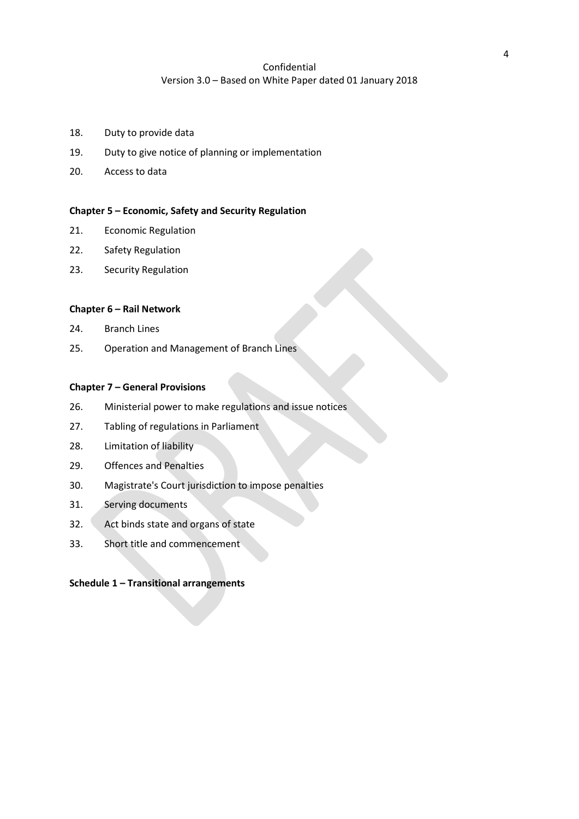- 18. Duty to provide data
- 19. Duty to give notice of planning or implementation
- 20. Access to data

### **Chapter 5 – Economic, Safety and Security Regulation**

- 21. Economic Regulation
- 22. Safety Regulation
- 23. Security Regulation

#### **Chapter 6 – Rail Network**

- 24. Branch Lines
- 25. Operation and Management of Branch Lines

#### **Chapter 7 – General Provisions**

- 26. Ministerial power to make regulations and issue notices
- 27. Tabling of regulations in Parliament
- 28. Limitation of liability
- 29. Offences and Penalties
- 30. Magistrate's Court jurisdiction to impose penalties
- 31. Serving documents
- 32. Act binds state and organs of state
- 33. Short title and commencement

### **Schedule 1 – Transitional arrangements**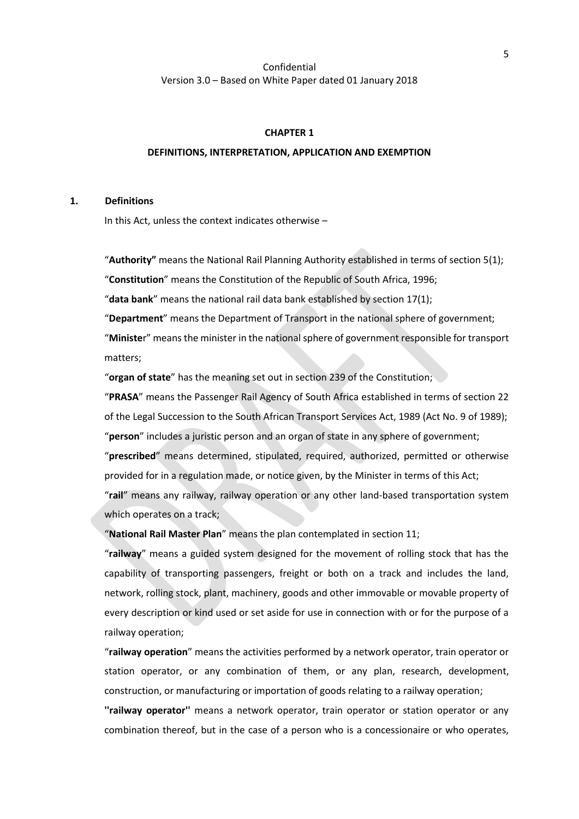#### **CHAPTER 1**

#### **DEFINITIONS, INTERPRETATION, APPLICATION AND EXEMPTION**

### **1. Definitions**

In this Act, unless the context indicates otherwise –

"**Authority"** means the National Rail Planning Authority established in terms of section [5\(](#page-9-0)1);

"**Constitution**" means the Constitution of the Republic of South Africa, 1996;

"**data bank**" means the national rail data bank established by section [17\(](#page-17-0)1);

"**Department**" means the Department of Transport in the national sphere of government; "**Ministe**r" means the minister in the national sphere of government responsible for transport matters;

"**organ of state**" has the meaning set out in section 239 of the Constitution;

"**PRASA**" means the Passenger Rail Agency of South Africa established in terms of section 22 of the Legal Succession to the South African Transport Services Act, 1989 (Act No. 9 of 1989); "**person**" includes a juristic person and an organ of state in any sphere of government; "**prescribed**" means determined, stipulated, required, authorized, permitted or otherwise provided for in a regulation made, or notice given, by the Minister in terms of this Act;

"**rail**" means any railway, railway operation or any other land-based transportation system which operates on a track;

"**National Rail Master Plan**" means the plan contemplated in sectio[n 11;](#page-13-0)

"**railway**" means a guided system designed for the movement of rolling stock that has the capability of transporting passengers, freight or both on a track and includes the land, network, rolling stock, plant, machinery, goods and other immovable or movable property of every description or kind used or set aside for use in connection with or for the purpose of a railway operation;

"**railway operation**" means the activities performed by a network operator, train operator or station operator, or any combination of them, or any plan, research, development, construction, or manufacturing or importation of goods relating to a railway operation;

**''railway operator''** means a network operator, train operator or station operator or any combination thereof, but in the case of a person who is a concessionaire or who operates,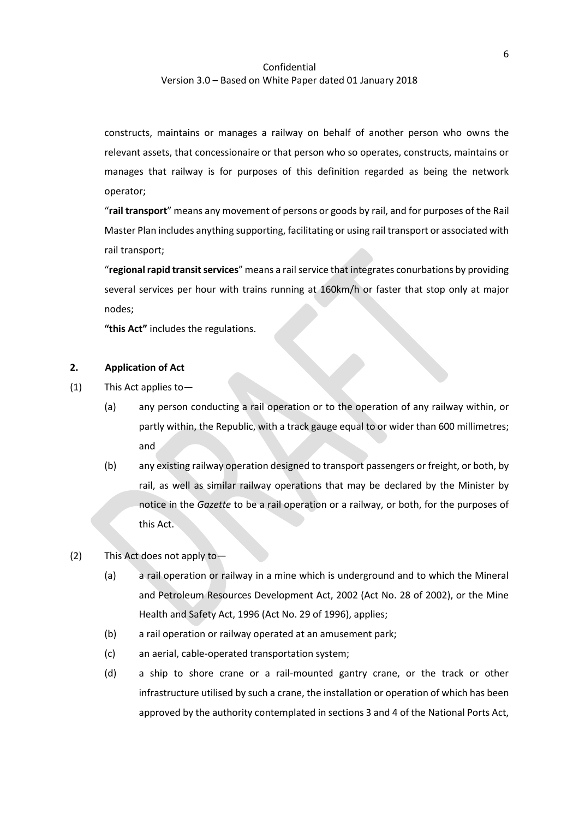constructs, maintains or manages a railway on behalf of another person who owns the relevant assets, that concessionaire or that person who so operates, constructs, maintains or manages that railway is for purposes of this definition regarded as being the network operator;

"**rail transport**" means any movement of persons or goods by rail, and for purposes of the Rail Master Plan includes anything supporting, facilitating or using rail transport or associated with rail transport;

"regional rapid transit services" means a rail service that integrates conurbations by providing several services per hour with trains running at 160km/h or faster that stop only at major nodes;

**"this Act"** includes the regulations.

# **2. Application of Act**

- (1) This Act applies to—
	- (a) any person conducting a rail operation or to the operation of any railway within, or partly within, the Republic, with a track gauge equal to or wider than 600 millimetres; and
	- (b) any existing railway operation designed to transport passengers or freight, or both, by rail, as well as similar railway operations that may be declared by the Minister by notice in the *Gazette* to be a rail operation or a railway, or both, for the purposes of this Act.
- (2) This Act does not apply to—
	- (a) a rail operation or railway in a mine which is underground and to which the Mineral and Petroleum Resources Development Act, 2002 (Act No. 28 of 2002), or the Mine Health and Safety Act, 1996 (Act No. 29 of 1996), applies;
	- (b) a rail operation or railway operated at an amusement park;
	- (c) an aerial, cable-operated transportation system;
	- (d) a ship to shore crane or a rail-mounted gantry crane, or the track or other infrastructure utilised by such a crane, the installation or operation of which has been approved by the authority contemplated in sections 3 and 4 of the National Ports Act,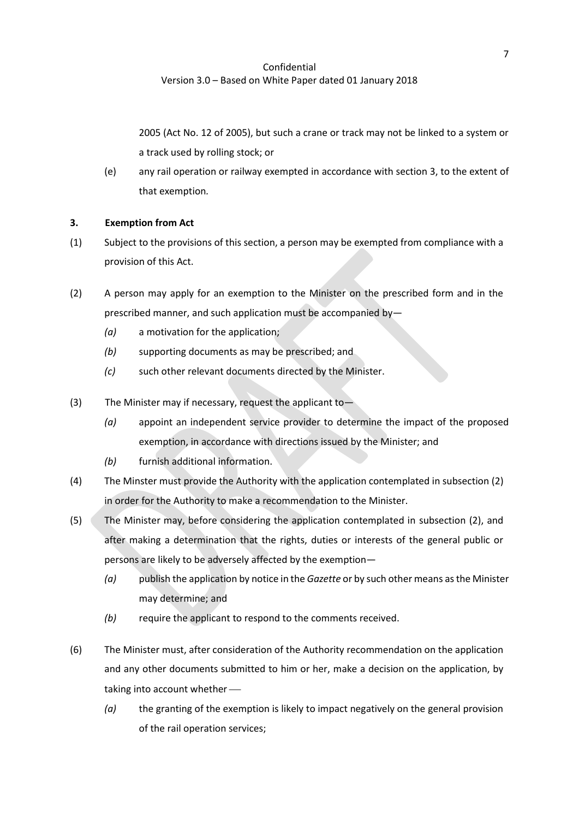2005 (Act No. 12 of 2005), but such a crane or track may not be linked to a system or a track used by rolling stock; or

(e) any rail operation or railway exempted in accordance with section [3,](#page-6-0) to the extent of that exemption*.*

### <span id="page-6-0"></span>**3. Exemption from Act**

- (1) Subject to the provisions of this section, a person may be exempted from compliance with a provision of this Act.
- (2) A person may apply for an exemption to the Minister on the prescribed form and in the prescribed manner, and such application must be accompanied by—
	- *(a)* a motivation for the application;
	- *(b)* supporting documents as may be prescribed; and
	- *(c)* such other relevant documents directed by the Minister.
- (3) The Minister may if necessary, request the applicant to—
	- *(a)* appoint an independent service provider to determine the impact of the proposed exemption, in accordance with directions issued by the Minister; and
	- *(b)* furnish additional information.
- (4) The Minster must provide the Authority with the application contemplated in subsectio[n \(2\)](#page-9-1) in order for the Authority to make a recommendation to the Minister.
- (5) The Minister may, before considering the application contemplated in subsection [\(2\),](#page-9-1) and after making a determination that the rights, duties or interests of the general public or persons are likely to be adversely affected by the exemption—
	- *(a)* publish the application by notice in the *Gazette* or by such other means as the Minister may determine; and
	- *(b)* require the applicant to respond to the comments received.
- (6) The Minister must, after consideration of the Authority recommendation on the application and any other documents submitted to him or her, make a decision on the application, by taking into account whether  $-$ 
	- *(a)* the granting of the exemption is likely to impact negatively on the general provision of the rail operation services;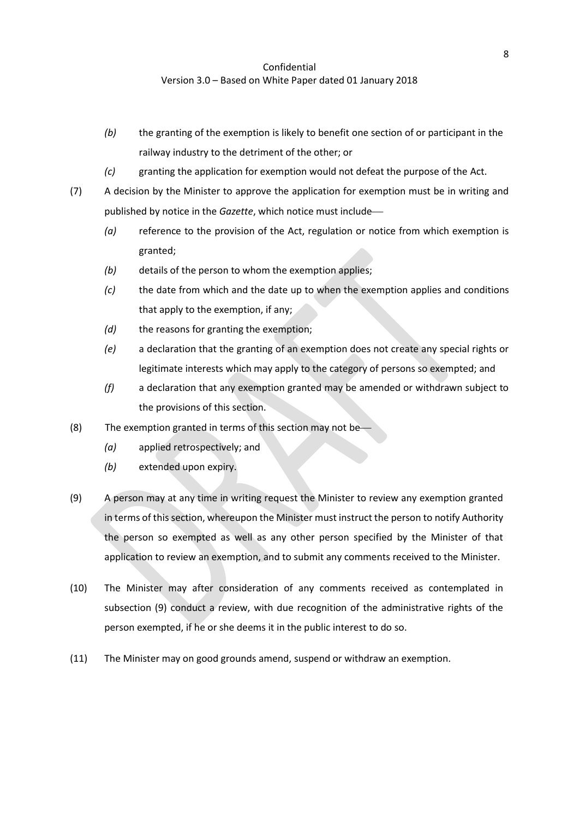- *(b)* the granting of the exemption is likely to benefit one section of or participant in the railway industry to the detriment of the other; or
- *(c)* granting the application for exemption would not defeat the purpose of the Act.
- (7) A decision by the Minister to approve the application for exemption must be in writing and published by notice in the *Gazette*, which notice must include-
	- *(a)* reference to the provision of the Act, regulation or notice from which exemption is granted;
	- *(b)* details of the person to whom the exemption applies;
	- *(c)* the date from which and the date up to when the exemption applies and conditions that apply to the exemption, if any;
	- *(d)* the reasons for granting the exemption;
	- *(e)* a declaration that the granting of an exemption does not create any special rights or legitimate interests which may apply to the category of persons so exempted; and
	- *(f)* a declaration that any exemption granted may be amended or withdrawn subject to the provisions of this section.
- (8) The exemption granted in terms of this section may not be-
	- *(a)* applied retrospectively; and
	- *(b)* extended upon expiry.
- (9) A person may at any time in writing request the Minister to review any exemption granted in terms of this section, whereupon the Minister must instruct the person to notify Authority the person so exempted as well as any other person specified by the Minister of that application to review an exemption, and to submit any comments received to the Minister.
- (10) The Minister may after consideration of any comments received as contemplated in subsection [\(9\)](#page-12-0) conduct a review, with due recognition of the administrative rights of the person exempted, if he or she deems it in the public interest to do so.
- (11) The Minister may on good grounds amend, suspend or withdraw an exemption.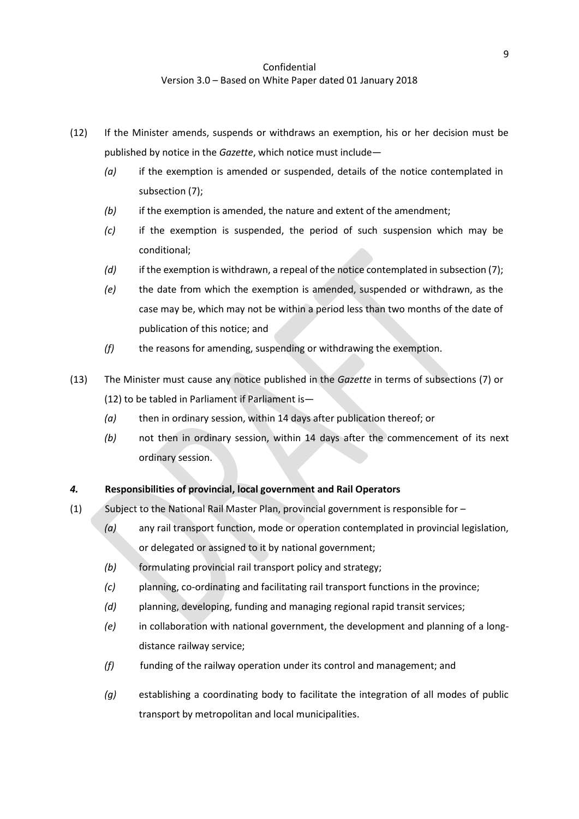- (12) If the Minister amends, suspends or withdraws an exemption, his or her decision must be published by notice in the *Gazette*, which notice must include—
	- *(a)* if the exemption is amended or suspended, details of the notice contemplated in subsection [\(7\)](#page-10-0);
	- *(b)* if the exemption is amended, the nature and extent of the amendment;
	- *(c)* if the exemption is suspended, the period of such suspension which may be conditional;
	- *(d)* if the exemption is withdrawn, a repeal of the notice contemplated in subsection [\(7\)](#page-10-0);
	- *(e)* the date from which the exemption is amended, suspended or withdrawn, as the case may be, which may not be within a period less than two months of the date of publication of this notice; and
	- *(f)* the reasons for amending, suspending or withdrawing the exemption.
- (13) The Minister must cause any notice published in the *Gazette* in terms of subsections [\(7\)](#page-10-0) or (12) to be tabled in Parliament if Parliament is—
	- *(a)* then in ordinary session, within 14 days after publication thereof; or
	- *(b)* not then in ordinary session, within 14 days after the commencement of its next ordinary session.

### <span id="page-8-0"></span>*4.* **Responsibilities of provincial, local government and Rail Operators**

- (1) Subject to the National Rail Master Plan, provincial government is responsible for
	- *(a)* any rail transport function, mode or operation contemplated in provincial legislation, or delegated or assigned to it by national government;
	- *(b)* formulating provincial rail transport policy and strategy;
	- *(c)* planning, co-ordinating and facilitating rail transport functions in the province;
	- *(d)* planning, developing, funding and managing regional rapid transit services;
	- *(e)* in collaboration with national government, the development and planning of a longdistance railway service;
	- *(f)* funding of the railway operation under its control and management; and
	- *(g)* establishing a coordinating body to facilitate the integration of all modes of public transport by metropolitan and local municipalities.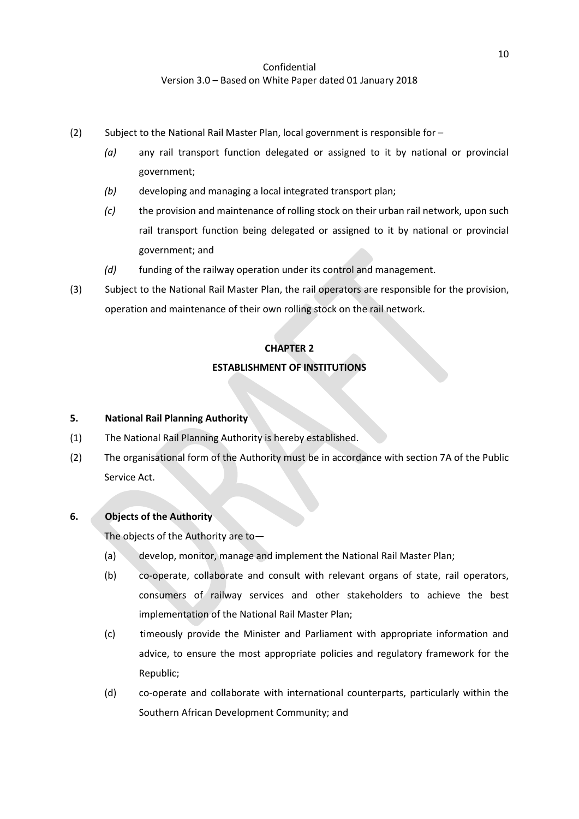- <span id="page-9-1"></span>(2) Subject to the National Rail Master Plan, local government is responsible for –
	- *(a)* any rail transport function delegated or assigned to it by national or provincial government;
	- *(b)* developing and managing a local integrated transport plan;
	- *(c)* the provision and maintenance of rolling stock on their urban rail network, upon such rail transport function being delegated or assigned to it by national or provincial government; and
	- *(d)* funding of the railway operation under its control and management.
- (3) Subject to the National Rail Master Plan, the rail operators are responsible for the provision, operation and maintenance of their own rolling stock on the rail network.

### **CHAPTER 2**

### **ESTABLISHMENT OF INSTITUTIONS**

### <span id="page-9-0"></span>**5. National Rail Planning Authority**

- (1) The National Rail Planning Authority is hereby established.
- (2) The organisational form of the Authority must be in accordance with section 7A of the Public Service Act.

# <span id="page-9-2"></span>**6. Objects of the Authority**

The objects of the Authority are to—

- (a) develop, monitor, manage and implement the National Rail Master Plan;
- (b) co-operate, collaborate and consult with relevant organs of state, rail operators, consumers of railway services and other stakeholders to achieve the best implementation of the National Rail Master Plan;
- (c) timeously provide the Minister and Parliament with appropriate information and advice, to ensure the most appropriate policies and regulatory framework for the Republic;
- (d) co-operate and collaborate with international counterparts, particularly within the Southern African Development Community; and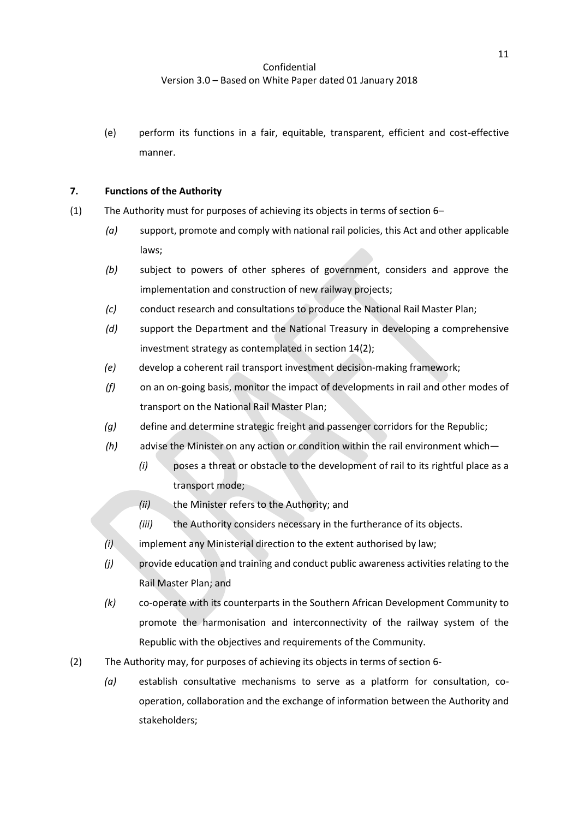(e) perform its functions in a fair, equitable, transparent, efficient and cost-effective manner.

### <span id="page-10-0"></span>**7. Functions of the Authority**

- (1) The Authority must for purposes of achieving its objects in terms of sectio[n 6](#page-9-2)
	- *(a)* support, promote and comply with national rail policies, this Act and other applicable laws;
	- *(b)* subject to powers of other spheres of government, considers and approve the implementation and construction of new railway projects;
	- *(c)* conduct research and consultations to produce the National Rail Master Plan;
	- *(d)* support the Department and the National Treasury in developing a comprehensive investment strategy as contemplated in sectio[n 14](#page-16-0)[\(2\);](#page-16-1)
	- *(e)* develop a coherent rail transport investment decision-making framework;
	- *(f)* on an on-going basis, monitor the impact of developments in rail and other modes of transport on the National Rail Master Plan;
	- *(g)* define and determine strategic freight and passenger corridors for the Republic;
	- *(h)* advise the Minister on any action or condition within the rail environment which—
		- *(i)* poses a threat or obstacle to the development of rail to its rightful place as a transport mode;
		- *(ii)* the Minister refers to the Authority; and
		- *(iii)* the Authority considers necessary in the furtherance of its objects.
	- *(i)* implement any Ministerial direction to the extent authorised by law;
	- *(j)* provide education and training and conduct public awareness activities relating to the Rail Master Plan; and
	- *(k)* co-operate with its counterparts in the Southern African Development Community to promote the harmonisation and interconnectivity of the railway system of the Republic with the objectives and requirements of the Community.
- (2) The Authority may, for purposes of achieving its objects in terms of section [6-](#page-9-2)
	- *(a)* establish consultative mechanisms to serve as a platform for consultation, cooperation, collaboration and the exchange of information between the Authority and stakeholders;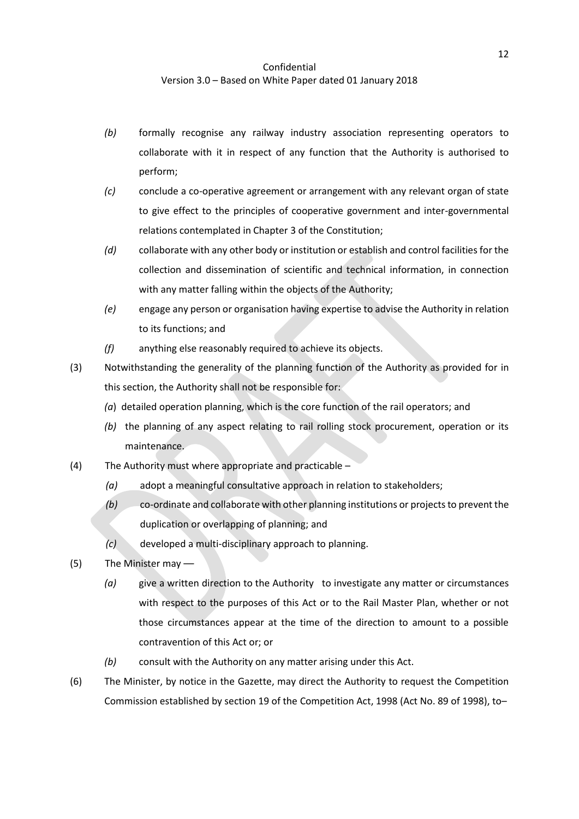- *(b)* formally recognise any railway industry association representing operators to collaborate with it in respect of any function that the Authority is authorised to perform;
- *(c)* conclude a co-operative agreement or arrangement with any relevant organ of state to give effect to the principles of cooperative government and inter-governmental relations contemplated in Chapter 3 of the Constitution;
- *(d)* collaborate with any other body or institution or establish and control facilities for the collection and dissemination of scientific and technical information, in connection with any matter falling within the objects of the Authority;
- *(e)* engage any person or organisation having expertise to advise the Authority in relation to its functions; and
- *(f)* anything else reasonably required to achieve its objects.
- (3) Notwithstanding the generality of the planning function of the Authority as provided for in this section, the Authority shall not be responsible for:
	- *(a*) detailed operation planning, which is the core function of the rail operators; and
	- *(b)* the planning of any aspect relating to rail rolling stock procurement, operation or its maintenance.
- (4) The Authority must where appropriate and practicable
	- *(a)* adopt a meaningful consultative approach in relation to stakeholders;
	- *(b)* co-ordinate and collaborate with other planning institutions or projects to prevent the duplication or overlapping of planning; and
	- *(c)* developed a multi-disciplinary approach to planning.
- (5) The Minister may ––
	- *(a)* give a written direction to the Authority to investigate any matter or circumstances with respect to the purposes of this Act or to the Rail Master Plan, whether or not those circumstances appear at the time of the direction to amount to a possible contravention of this Act or; or
	- *(b)* consult with the Authority on any matter arising under this Act.
- (6) The Minister, by notice in the Gazette, may direct the Authority to request the Competition Commission established by section 19 of the Competition Act, 1998 (Act No. 89 of 1998), to–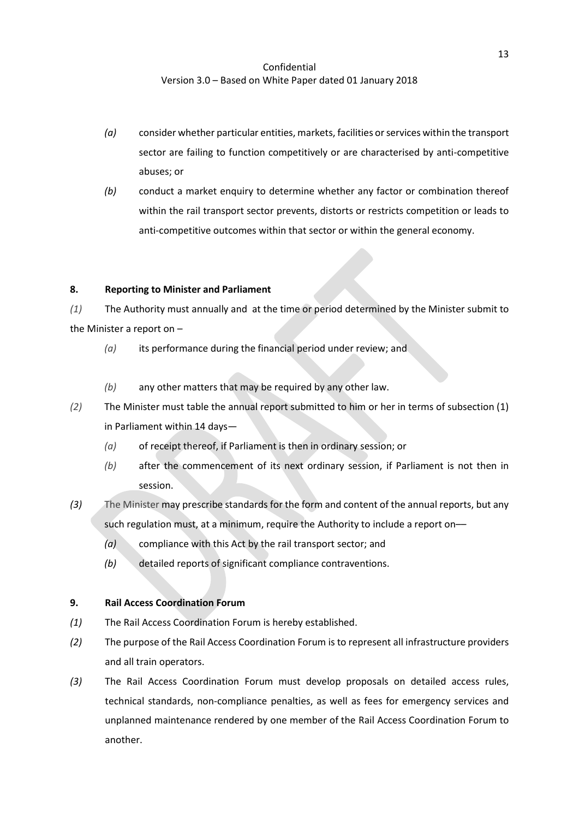- *(a)* consider whether particular entities, markets, facilities or services within the transport sector are failing to function competitively or are characterised by anti-competitive abuses; or
- *(b)* conduct a market enquiry to determine whether any factor or combination thereof within the rail transport sector prevents, distorts or restricts competition or leads to anti-competitive outcomes within that sector or within the general economy.

### **8. Reporting to Minister and Parliament**

*(1)* The Authority must annually and at the time or period determined by the Minister submit to the Minister a report on –

- *(a)* its performance during the financial period under review; and
- *(b)* any other matters that may be required by any other law.
- *(2)* The Minister must table the annual report submitted to him or her in terms of subsection (1) in Parliament within 14 days—
	- *(a)* of receipt thereof, if Parliament is then in ordinary session; or
	- *(b)* after the commencement of its next ordinary session, if Parliament is not then in session.
- *(3)* The Minister may prescribe standards for the form and content of the annual reports, but any such regulation must, at a minimum, require the Authority to include a report on––
	- *(a)* compliance with this Act by the rail transport sector; and
	- *(b)* detailed reports of significant compliance contraventions.

# <span id="page-12-0"></span>**9. Rail Access Coordination Forum**

- *(1)* The Rail Access Coordination Forum is hereby established.
- *(2)* The purpose of the Rail Access Coordination Forum is to represent all infrastructure providers and all train operators.
- *(3)* The Rail Access Coordination Forum must develop proposals on detailed access rules, technical standards, non-compliance penalties, as well as fees for emergency services and unplanned maintenance rendered by one member of the Rail Access Coordination Forum to another.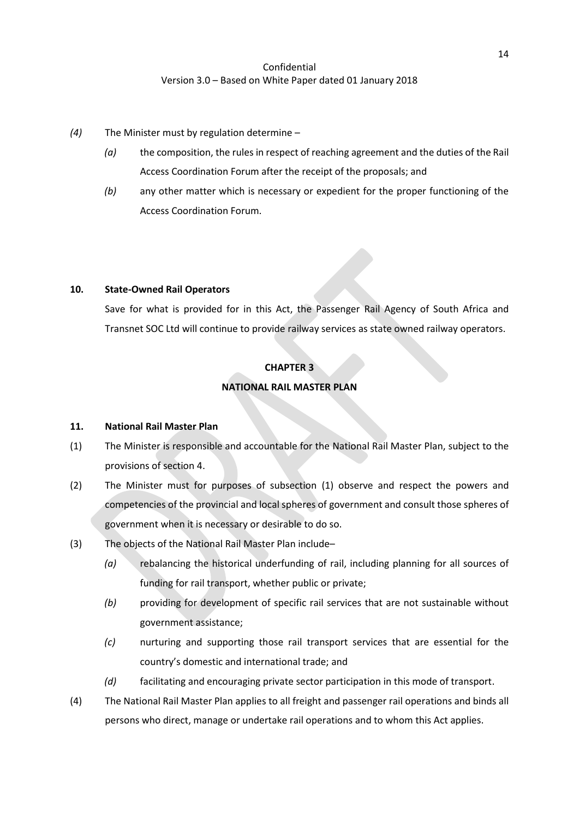- *(4)* The Minister must by regulation determine
	- *(a)* the composition, the rules in respect of reaching agreement and the duties of the Rail Access Coordination Forum after the receipt of the proposals; and
	- *(b)* any other matter which is necessary or expedient for the proper functioning of the Access Coordination Forum.

### **10. State-Owned Rail Operators**

Save for what is provided for in this Act, the Passenger Rail Agency of South Africa and Transnet SOC Ltd will continue to provide railway services as state owned railway operators.

### **CHAPTER 3**

### **NATIONAL RAIL MASTER PLAN**

### <span id="page-13-0"></span>**11. National Rail Master Plan**

- <span id="page-13-1"></span>(1) The Minister is responsible and accountable for the National Rail Master Plan, subject to the provisions of section [4.](#page-8-0)
- (2) The Minister must for purposes of subsection [\(1\)](#page-13-1) observe and respect the powers and competencies of the provincial and local spheres of government and consult those spheres of government when it is necessary or desirable to do so.
- (3) The objects of the National Rail Master Plan include–
	- *(a)* rebalancing the historical underfunding of rail, including planning for all sources of funding for rail transport, whether public or private;
	- *(b)* providing for development of specific rail services that are not sustainable without government assistance;
	- *(c)* nurturing and supporting those rail transport services that are essential for the country's domestic and international trade; and
	- *(d)* facilitating and encouraging private sector participation in this mode of transport.
- (4) The National Rail Master Plan applies to all freight and passenger rail operations and binds all persons who direct, manage or undertake rail operations and to whom this Act applies.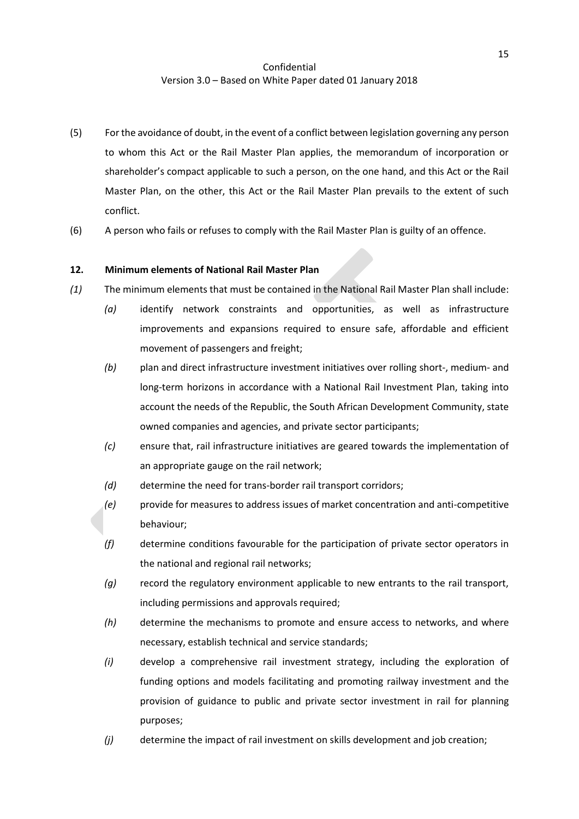- (5) For the avoidance of doubt, in the event of a conflict between legislation governing any person to whom this Act or the Rail Master Plan applies, the memorandum of incorporation or shareholder's compact applicable to such a person, on the one hand, and this Act or the Rail Master Plan, on the other, this Act or the Rail Master Plan prevails to the extent of such conflict.
- (6) A person who fails or refuses to comply with the Rail Master Plan is guilty of an offence.

### **12. Minimum elements of National Rail Master Plan**

- *(1)* The minimum elements that must be contained in the National Rail Master Plan shall include:
	- *(a)* identify network constraints and opportunities, as well as infrastructure improvements and expansions required to ensure safe, affordable and efficient movement of passengers and freight;
	- *(b)* plan and direct infrastructure investment initiatives over rolling short-, medium- and long-term horizons in accordance with a National Rail Investment Plan, taking into account the needs of the Republic, the South African Development Community, state owned companies and agencies, and private sector participants;
	- *(c)* ensure that, rail infrastructure initiatives are geared towards the implementation of an appropriate gauge on the rail network;
	- *(d)* determine the need for trans-border rail transport corridors;
	- *(e)* provide for measures to address issues of market concentration and anti-competitive behaviour;
	- *(f)* determine conditions favourable for the participation of private sector operators in the national and regional rail networks;
	- *(g)* record the regulatory environment applicable to new entrants to the rail transport, including permissions and approvals required;
	- *(h)* determine the mechanisms to promote and ensure access to networks, and where necessary, establish technical and service standards;
	- *(i)* develop a comprehensive rail investment strategy, including the exploration of funding options and models facilitating and promoting railway investment and the provision of guidance to public and private sector investment in rail for planning purposes;
	- *(j)* determine the impact of rail investment on skills development and job creation;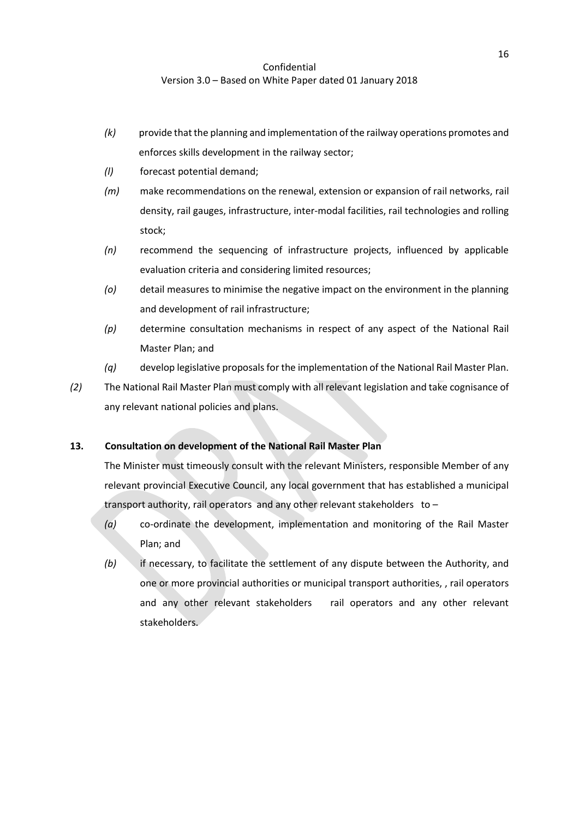- *(k)* provide that the planning and implementation of the railway operations promotes and enforces skills development in the railway sector;
- *(l)* forecast potential demand;
- *(m)* make recommendations on the renewal, extension or expansion of rail networks, rail density, rail gauges, infrastructure, inter-modal facilities, rail technologies and rolling stock;
- *(n)* recommend the sequencing of infrastructure projects, influenced by applicable evaluation criteria and considering limited resources;
- *(o)* detail measures to minimise the negative impact on the environment in the planning and development of rail infrastructure;
- *(p)* determine consultation mechanisms in respect of any aspect of the National Rail Master Plan; and
- *(q)* develop legislative proposals for the implementation of the National Rail Master Plan.
- *(2)* The National Rail Master Plan must comply with all relevant legislation and take cognisance of any relevant national policies and plans.

# **13. Consultation on development of the National Rail Master Plan**

The Minister must timeously consult with the relevant Ministers, responsible Member of any relevant provincial Executive Council, any local government that has established a municipal transport authority, rail operators and any other relevant stakeholders to –

- *(a)* co-ordinate the development, implementation and monitoring of the Rail Master Plan; and
- *(b)* if necessary, to facilitate the settlement of any dispute between the Authority, and one or more provincial authorities or municipal transport authorities, , rail operators and any other relevant stakeholders rail operators and any other relevant stakeholders.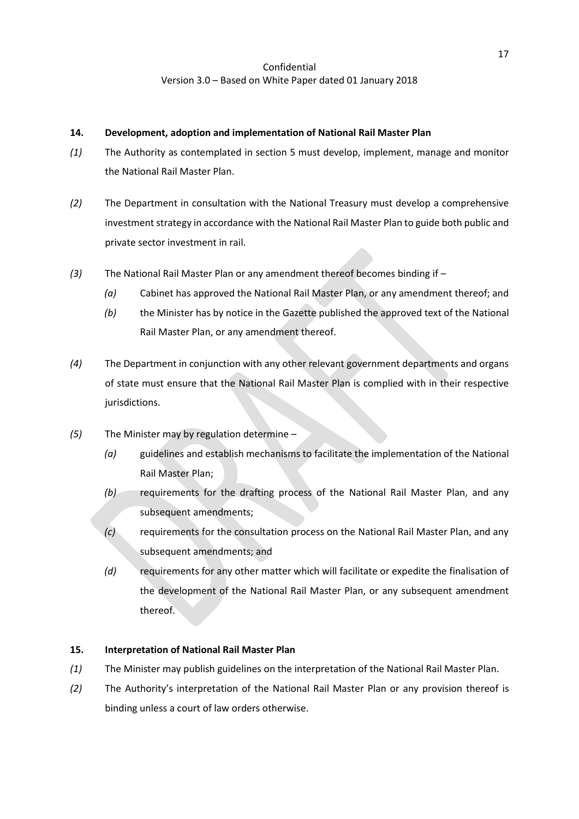### <span id="page-16-0"></span>**14. Development, adoption and implementation of National Rail Master Plan**

- *(1)* The Authority as contemplated in section [5](#page-9-0) must develop, implement, manage and monitor the National Rail Master Plan.
- <span id="page-16-1"></span>*(2)* The Department in consultation with the National Treasury must develop a comprehensive investment strategy in accordance with the National Rail Master Plan to guide both public and private sector investment in rail.
- *(3)* The National Rail Master Plan or any amendment thereof becomes binding if
	- *(a)* Cabinet has approved the National Rail Master Plan, or any amendment thereof; and
	- *(b)* the Minister has by notice in the Gazette published the approved text of the National Rail Master Plan, or any amendment thereof.
- *(4)* The Department in conjunction with any other relevant government departments and organs of state must ensure that the National Rail Master Plan is complied with in their respective jurisdictions.
- *(5)* The Minister may by regulation determine
	- *(a)* guidelines and establish mechanisms to facilitate the implementation of the National Rail Master Plan;
	- *(b)* requirements for the drafting process of the National Rail Master Plan, and any subsequent amendments;
	- *(c)* requirements for the consultation process on the National Rail Master Plan, and any subsequent amendments; and
	- *(d)* requirements for any other matter which will facilitate or expedite the finalisation of the development of the National Rail Master Plan, or any subsequent amendment thereof.

### **15. Interpretation of National Rail Master Plan**

- *(1)* The Minister may publish guidelines on the interpretation of the National Rail Master Plan.
- *(2)* The Authority's interpretation of the National Rail Master Plan or any provision thereof is binding unless a court of law orders otherwise.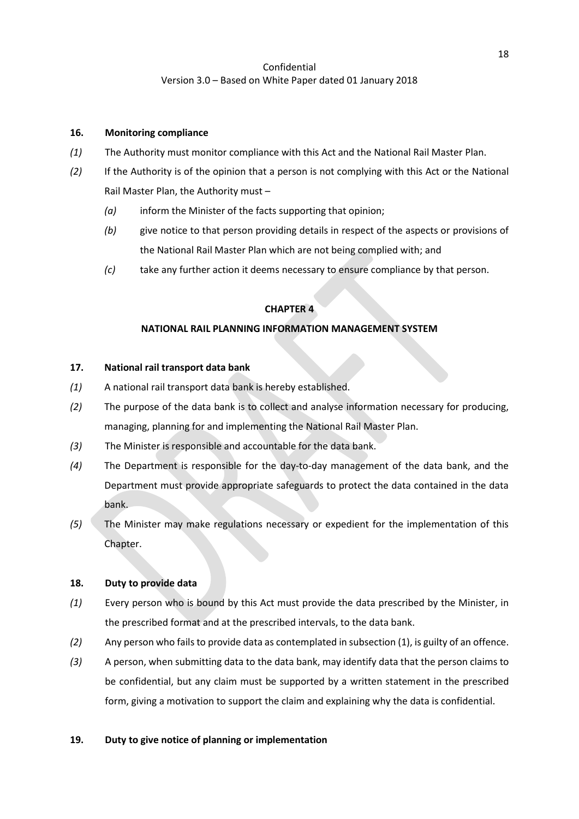#### **16. Monitoring compliance**

- *(1)* The Authority must monitor compliance with this Act and the National Rail Master Plan.
- *(2)* If the Authority is of the opinion that a person is not complying with this Act or the National Rail Master Plan, the Authority must –
	- *(a)* inform the Minister of the facts supporting that opinion;
	- *(b)* give notice to that person providing details in respect of the aspects or provisions of the National Rail Master Plan which are not being complied with; and
	- *(c)* take any further action it deems necessary to ensure compliance by that person.

### **CHAPTER 4**

### **NATIONAL RAIL PLANNING INFORMATION MANAGEMENT SYSTEM**

### <span id="page-17-0"></span>**17. National rail transport data bank**

- *(1)* A national rail transport data bank is hereby established.
- *(2)* The purpose of the data bank is to collect and analyse information necessary for producing, managing, planning for and implementing the National Rail Master Plan.
- *(3)* The Minister is responsible and accountable for the data bank.
- *(4)* The Department is responsible for the day-to-day management of the data bank, and the Department must provide appropriate safeguards to protect the data contained in the data bank.
- *(5)* The Minister may make regulations necessary or expedient for the implementation of this Chapter.

### <span id="page-17-3"></span>**18. Duty to provide data**

- <span id="page-17-1"></span>*(1)* Every person who is bound by this Act must provide the data prescribed by the Minister, in the prescribed format and at the prescribed intervals, to the data bank.
- *(2)* Any person who fails to provide data as contemplated in subsectio[n \(1\),](#page-17-1) is guilty of an offence.
- <span id="page-17-2"></span>*(3)* A person, when submitting data to the data bank, may identify data that the person claims to be confidential, but any claim must be supported by a written statement in the prescribed form, giving a motivation to support the claim and explaining why the data is confidential.

### **19. Duty to give notice of planning or implementation**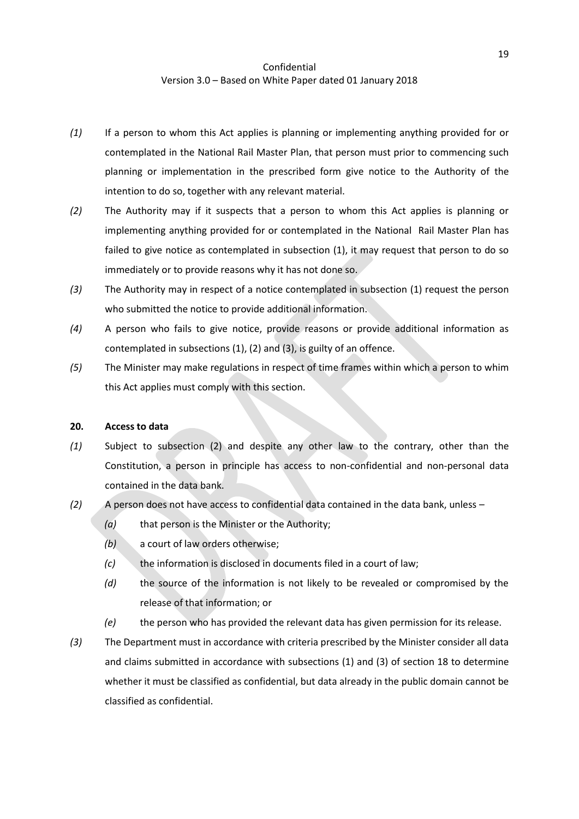- <span id="page-18-0"></span>*(1)* If a person to whom this Act applies is planning or implementing anything provided for or contemplated in the National Rail Master Plan, that person must prior to commencing such planning or implementation in the prescribed form give notice to the Authority of the intention to do so, together with any relevant material.
- <span id="page-18-1"></span>*(2)* The Authority may if it suspects that a person to whom this Act applies is planning or implementing anything provided for or contemplated in the National Rail Master Plan has failed to give notice as contemplated in subsection [\(1\),](#page-18-0) it may request that person to do so immediately or to provide reasons why it has not done so.
- <span id="page-18-2"></span>*(3)* The Authority may in respect of a notice contemplated in subsection [\(1\)](#page-18-0) request the person who submitted the notice to provide additional information.
- *(4)* A person who fails to give notice, provide reasons or provide additional information as contemplated in subsections [\(1\),](#page-18-0) [\(2\)](#page-18-1) an[d \(3\),](#page-18-2) is guilty of an offence.
- *(5)* The Minister may make regulations in respect of time frames within which a person to whim this Act applies must comply with this section.

#### **20. Access to data**

- *(1)* Subject to subsection [\(2\)](#page-18-3) and despite any other law to the contrary, other than the Constitution, a person in principle has access to non-confidential and non-personal data contained in the data bank.
- <span id="page-18-3"></span>*(2)* A person does not have access to confidential data contained in the data bank, unless –
	- *(a)* that person is the Minister or the Authority;
	- *(b)* a court of law orders otherwise;
	- *(c)* the information is disclosed in documents filed in a court of law;
	- *(d)* the source of the information is not likely to be revealed or compromised by the release of that information; or
	- *(e)* the person who has provided the relevant data has given permission for its release.
- *(3)* The Department must in accordance with criteria prescribed by the Minister consider all data and claims submitted in accordance with subsections [\(1\)](#page-17-1) and [\(3\)](#page-17-2) of section [18](#page-17-3) to determine whether it must be classified as confidential, but data already in the public domain cannot be classified as confidential.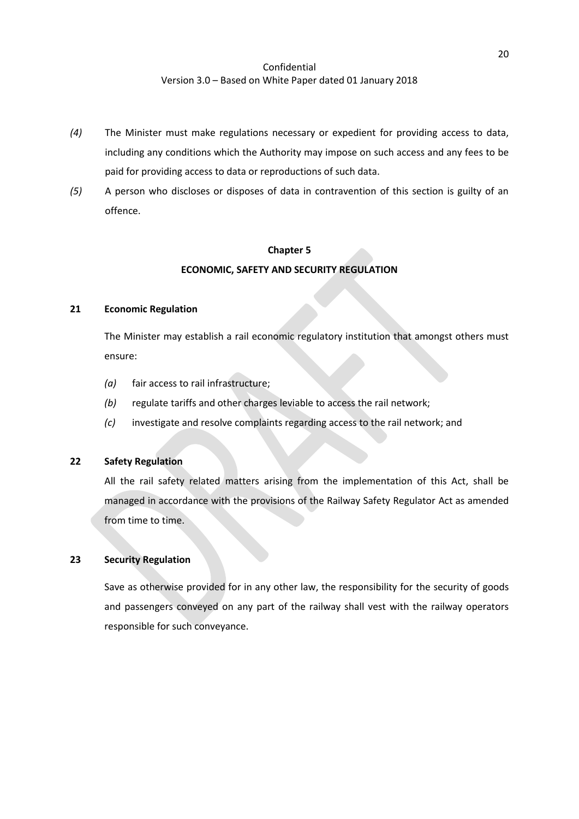- *(4)* The Minister must make regulations necessary or expedient for providing access to data, including any conditions which the Authority may impose on such access and any fees to be paid for providing access to data or reproductions of such data.
- *(5)* A person who discloses or disposes of data in contravention of this section is guilty of an offence.

#### **Chapter 5**

#### **ECONOMIC, SAFETY AND SECURITY REGULATION**

#### **21 Economic Regulation**

The Minister may establish a rail economic regulatory institution that amongst others must ensure:

- *(a)* fair access to rail infrastructure;
- *(b)* regulate tariffs and other charges leviable to access the rail network;
- *(c)* investigate and resolve complaints regarding access to the rail network; and

### **22 Safety Regulation**

All the rail safety related matters arising from the implementation of this Act, shall be managed in accordance with the provisions of the Railway Safety Regulator Act as amended from time to time.

### **23 Security Regulation**

Save as otherwise provided for in any other law, the responsibility for the security of goods and passengers conveyed on any part of the railway shall vest with the railway operators responsible for such conveyance.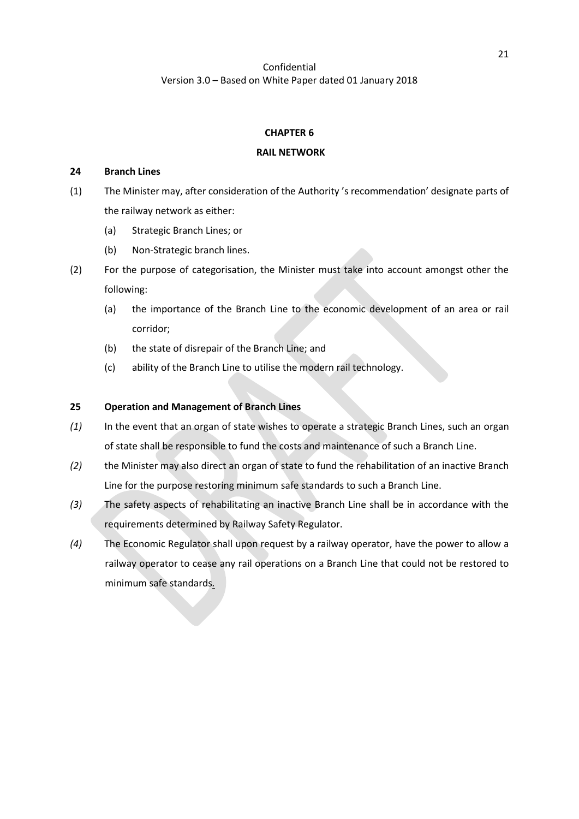#### **CHAPTER 6**

#### **RAIL NETWORK**

#### **24 Branch Lines**

- (1) The Minister may, after consideration of the Authority 's recommendation' designate parts of the railway network as either:
	- (a) Strategic Branch Lines; or
	- (b) Non-Strategic branch lines.
- (2) For the purpose of categorisation, the Minister must take into account amongst other the following:
	- (a) the importance of the Branch Line to the economic development of an area or rail corridor;
	- (b) the state of disrepair of the Branch Line; and
	- (c) ability of the Branch Line to utilise the modern rail technology.

#### **25 Operation and Management of Branch Lines**

- *(1)* In the event that an organ of state wishes to operate a strategic Branch Lines, such an organ of state shall be responsible to fund the costs and maintenance of such a Branch Line.
- *(2)* the Minister may also direct an organ of state to fund the rehabilitation of an inactive Branch Line for the purpose restoring minimum safe standards to such a Branch Line.
- *(3)* The safety aspects of rehabilitating an inactive Branch Line shall be in accordance with the requirements determined by Railway Safety Regulator.
- *(4)* The Economic Regulator shall upon request by a railway operator, have the power to allow a railway operator to cease any rail operations on a Branch Line that could not be restored to minimum safe standards*.*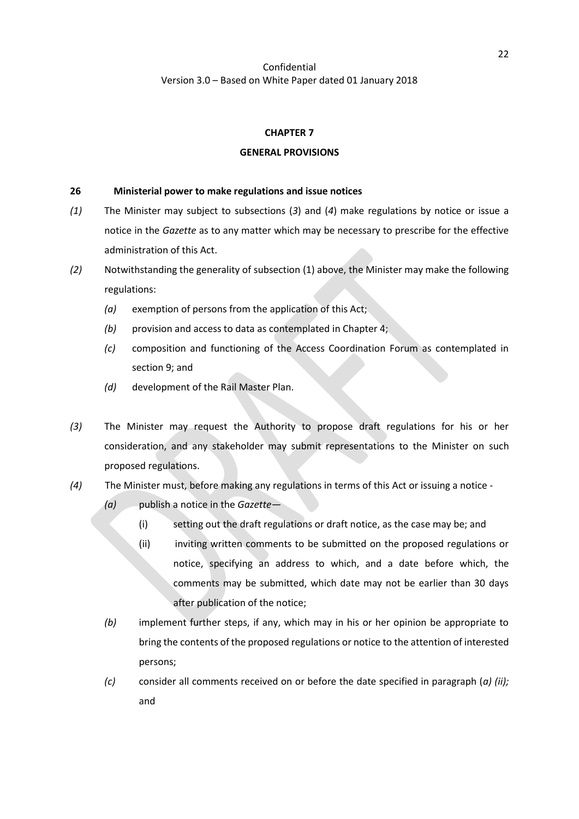#### **CHAPTER 7**

#### **GENERAL PROVISIONS**

#### **26 Ministerial power to make regulations and issue notices**

- *(1)* The Minister may subject to subsections (*3*) and (*4*) make regulations by notice or issue a notice in the *Gazette* as to any matter which may be necessary to prescribe for the effective administration of this Act.
- *(2)* Notwithstanding the generality of subsection (1) above, the Minister may make the following regulations:
	- *(a)* exemption of persons from the application of this Act;
	- *(b)* provision and access to data as contemplated in Chapter 4;
	- *(c)* composition and functioning of the Access Coordination Forum as contemplated in sectio[n 9;](#page-12-0) and
	- *(d)* development of the Rail Master Plan.
- *(3)* The Minister may request the Authority to propose draft regulations for his or her consideration, and any stakeholder may submit representations to the Minister on such proposed regulations.
- *(4)* The Minister must, before making any regulations in terms of this Act or issuing a notice
	- *(a)* publish a notice in the *Gazette*
		- (i) setting out the draft regulations or draft notice, as the case may be; and
		- (ii) inviting written comments to be submitted on the proposed regulations or notice, specifying an address to which, and a date before which, the comments may be submitted, which date may not be earlier than 30 days after publication of the notice;
	- *(b)* implement further steps, if any, which may in his or her opinion be appropriate to bring the contents of the proposed regulations or notice to the attention of interested persons;
	- *(c)* consider all comments received on or before the date specified in paragraph (*a) (ii);* and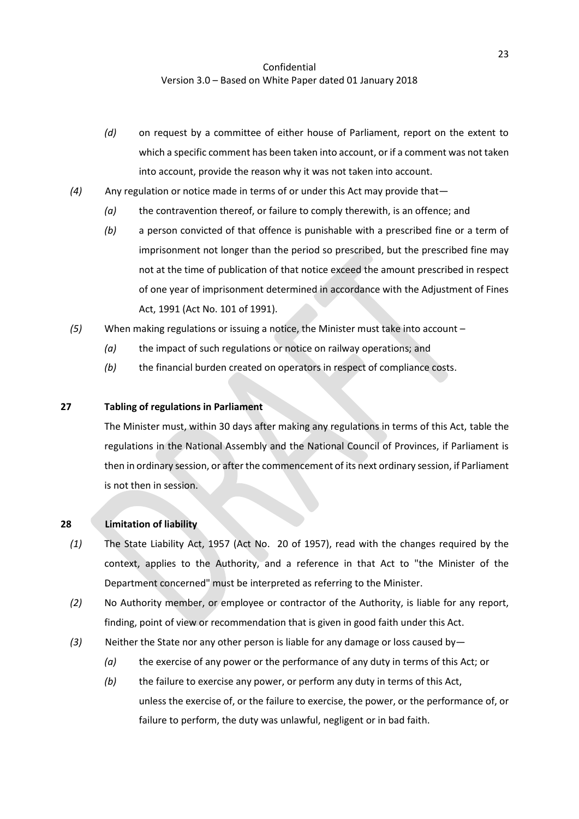- *(d)* on request by a committee of either house of Parliament, report on the extent to which a specific comment has been taken into account, or if a comment was not taken into account, provide the reason why it was not taken into account.
- *(4)* Any regulation or notice made in terms of or under this Act may provide that—
	- *(a)* the contravention thereof, or failure to comply therewith, is an offence; and
	- *(b)* a person convicted of that offence is punishable with a prescribed fine or a term of imprisonment not longer than the period so prescribed, but the prescribed fine may not at the time of publication of that notice exceed the amount prescribed in respect of one year of imprisonment determined in accordance with the Adjustment of Fines Act, 1991 (Act No. 101 of 1991).
- *(5)* When making regulations or issuing a notice, the Minister must take into account
	- *(a)* the impact of such regulations or notice on railway operations; and
	- *(b)* the financial burden created on operators in respect of compliance costs.

#### **27 Tabling of regulations in Parliament**

The Minister must, within 30 days after making any regulations in terms of this Act, table the regulations in the National Assembly and the National Council of Provinces, if Parliament is then in ordinary session, or after the commencement of its next ordinary session, if Parliament is not then in session.

#### **28 Limitation of liability**

- *(1)* The State Liability Act, 1957 (Act No. 20 of 1957), read with the changes required by the context, applies to the Authority, and a reference in that Act to "the Minister of the Department concerned" must be interpreted as referring to the Minister.
- *(2)* No Authority member, or employee or contractor of the Authority, is liable for any report, finding, point of view or recommendation that is given in good faith under this Act.
- *(3)* Neither the State nor any other person is liable for any damage or loss caused by—
	- *(a)* the exercise of any power or the performance of any duty in terms of this Act; or
	- *(b)* the failure to exercise any power, or perform any duty in terms of this Act, unless the exercise of, or the failure to exercise, the power, or the performance of, or failure to perform, the duty was unlawful, negligent or in bad faith.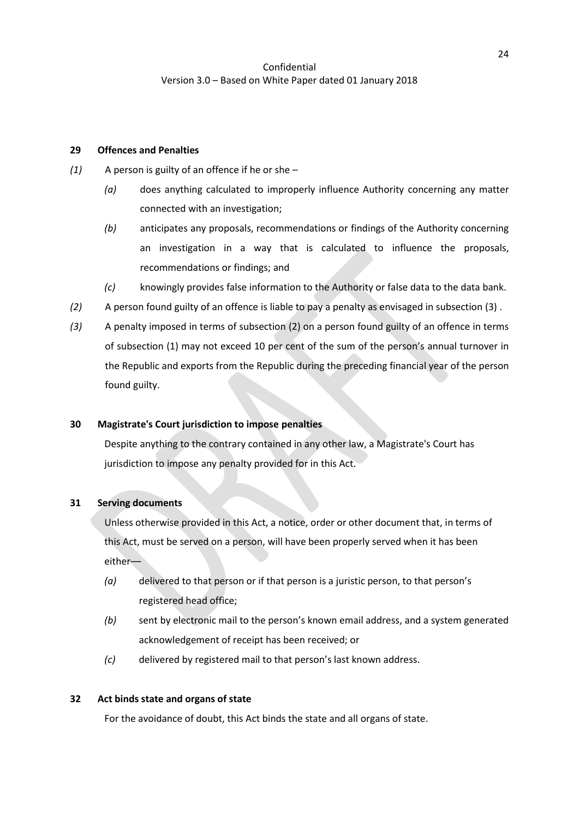### **29 Offences and Penalties**

- <span id="page-23-2"></span>*(1)* A person is guilty of an offence if he or she –
	- *(a)* does anything calculated to improperly influence Authority concerning any matter connected with an investigation;
	- *(b)* anticipates any proposals, recommendations or findings of the Authority concerning an investigation in a way that is calculated to influence the proposals, recommendations or findings; and
	- *(c)* knowingly provides false information to the Authority or false data to the data bank.
- <span id="page-23-1"></span>*(2)* A person found guilty of an offence is liable to pay a penalty as envisaged in subsection [\(3\)](#page-23-0) .
- <span id="page-23-0"></span>*(3)* A penalty imposed in terms of subsectio[n \(2\)](#page-23-1) on a person found guilty of an offence in terms of subsection [\(1\)](#page-23-2) may not exceed 10 per cent of the sum of the person's annual turnover in the Republic and exports from the Republic during the preceding financial year of the person found guilty.

# **30 Magistrate's Court jurisdiction to impose penalties**

Despite anything to the contrary contained in any other law, a Magistrate's Court has jurisdiction to impose any penalty provided for in this Act.

#### **31 Serving documents**

Unless otherwise provided in this Act, a notice, order or other document that, in terms of this Act, must be served on a person, will have been properly served when it has been either––

- *(a)* delivered to that person or if that person is a juristic person, to that person's registered head office;
- *(b)* sent by electronic mail to the person's known email address, and a system generated acknowledgement of receipt has been received; or
- *(c)* delivered by registered mail to that person's last known address.

### **32 Act binds state and organs of state**

For the avoidance of doubt, this Act binds the state and all organs of state.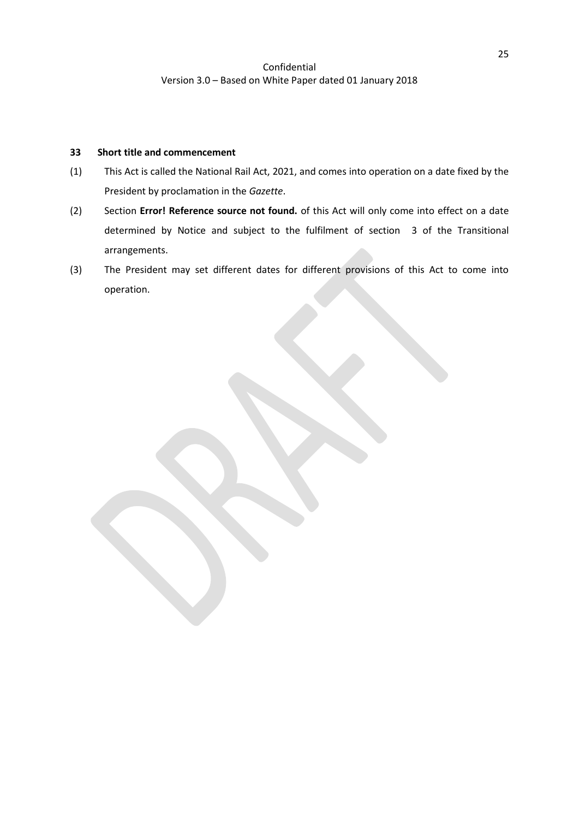### **33 Short title and commencement**

- (1) This Act is called the National Rail Act, 2021, and comes into operation on a date fixed by the President by proclamation in the *Gazette*.
- (2) Section **Error! Reference source not found.** of this Act will only come into effect on a date determined by Notice and subject to the fulfilment of section [3](#page-6-0) of the Transitional arrangements.
- (3) The President may set different dates for different provisions of this Act to come into operation.